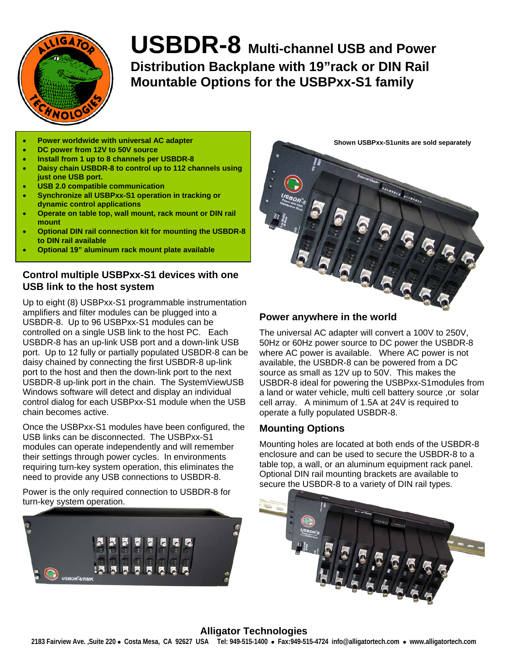

**USBDR-8 Multi-channel USB and Power Distribution Backplane with 19"rack or DIN Rail Mountable Options for the USBPxx-S1 family**

- **Power worldwide with universal AC adapter**
- **DC power from 12V to 50V source**
- **Install from 1 up to 8 channels per USBDR-8**
- **Daisy chain USBDR-8 to control up to 112 channels using just one USB port.**
- **USB 2.0 compatible communication**
- **Synchronize all USBPxx-S1 operation in tracking or dynamic control applications**
- **Operate on table top, wall mount, rack mount or DIN rail mount**
- **Optional DIN rail connection kit for mounting the USBDR-8 to DIN rail available**
- **Optional 19" aluminum rack mount plate available**

## **Control multiple USBPxx-S1 devices with one USB link to the host system**

Up to eight (8) USBPxx-S1 programmable instrumentation amplifiers and filter modules can be plugged into a USBDR-8. Up to 96 USBPxx-S1 modules can be controlled on a single USB link to the host PC. Each USBDR-8 has an up-link USB port and a down-link USB port. Up to 12 fully or partially populated USBDR-8 can be daisy chained by connecting the first USBDR-8 up-link port to the host and then the down-link port to the next USBDR-8 up-link port in the chain. The SystemViewUSB Windows software will detect and display an individual control dialog for each USBPxx-S1 module when the USB chain becomes active.

Once the USBPxx-S1 modules have been configured, the USB links can be disconnected. The USBPxx-S1 modules can operate independently and will remember their settings through power cycles. In environments requiring turn-key system operation, this eliminates the need to provide any USB connections to USBDR-8.

Power is the only required connection to USBDR-8 for turn-key system operation.



**Shown USBPxx-S1units are sold separatelyConstruction** 

#### **Power anywhere in the world**

The universal AC adapter will convert a 100V to 250V, 50Hz or 60Hz power source to DC power the USBDR-8 where AC power is available. Where AC power is not available, the USBDR-8 can be powered from a DC source as small as 12V up to 50V. This makes the USBDR-8 ideal for powering the USBPxx-S1modules from a land or water vehicle, multi cell battery source ,or solar cell array. A minimum of 1.5A at 24V is required to operate a fully populated USBDR-8.

## **Mounting Options**

Mounting holes are located at both ends of the USBDR-8 enclosure and can be used to secure the USBDR-8 to a table top, a wall, or an aluminum equipment rack panel. Optional DIN rail mounting brackets are available to secure the USBDR-8 to a variety of DIN rail types.



## **Alligator Technologies**